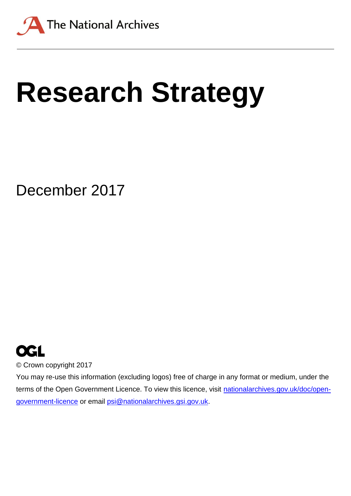

# **Research Strategy**

December 2017



© Crown copyright 2017

You may re-use this information (excluding logos) free of charge in any format or medium, under the terms of the Open Government Licence. To view this licence, visit [nationalarchives.gov.uk/doc/open](http://nationalarchives.gov.uk/doc/open-government-licence)[government-licence](http://nationalarchives.gov.uk/doc/open-government-licence) or email [psi@nationalarchives.gsi.gov.uk.](mailto:psi@nationalarchives.gsi.gov.uk)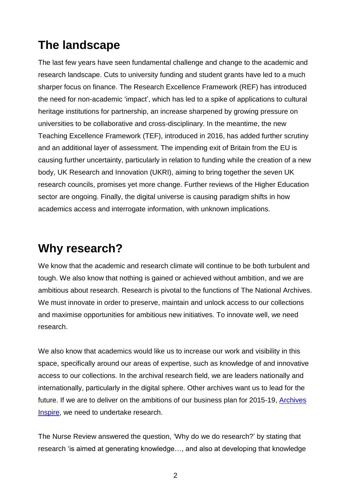## **The landscape**

The last few years have seen fundamental challenge and change to the academic and research landscape. Cuts to university funding and student grants have led to a much sharper focus on finance. The Research Excellence Framework (REF) has introduced the need for non-academic 'impact', which has led to a spike of applications to cultural heritage institutions for partnership, an increase sharpened by growing pressure on universities to be collaborative and cross-disciplinary. In the meantime, the new Teaching Excellence Framework (TEF), introduced in 2016, has added further scrutiny and an additional layer of assessment. The impending exit of Britain from the EU is causing further uncertainty, particularly in relation to funding while the creation of a new body, UK Research and Innovation (UKRI), aiming to bring together the seven UK research councils, promises yet more change. Further reviews of the Higher Education sector are ongoing. Finally, the digital universe is causing paradigm shifts in how academics access and interrogate information, with unknown implications.

## **Why research?**

We know that the academic and research climate will continue to be both turbulent and tough. We also know that nothing is gained or achieved without ambition, and we are ambitious about research. Research is pivotal to the functions of The National Archives. We must innovate in order to preserve, maintain and unlock access to our collections and maximise opportunities for ambitious new initiatives. To innovate well, we need research.

We also know that academics would like us to increase our work and visibility in this space, specifically around our areas of expertise, such as knowledge of and innovative access to our collections. In the archival research field, we are leaders nationally and internationally, particularly in the digital sphere. Other archives want us to lead for the future. If we are to deliver on the ambitions of our business plan for 2015-19, [Archives](http://www.nationalarchives.gov.uk/about/our-role/plans-policies-performance-and-projects/our-plans/archives-inspire/)  [Inspire,](http://www.nationalarchives.gov.uk/about/our-role/plans-policies-performance-and-projects/our-plans/archives-inspire/) we need to undertake research.

The Nurse Review answered the question, 'Why do we do research?' by stating that research 'is aimed at generating knowledge…, and also at developing that knowledge

2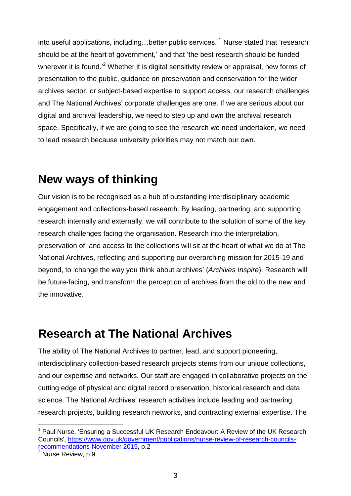into useful applications, including...better public services.<sup>11</sup> Nurse stated that 'research should be at the heart of government,' and that 'the best research should be funded wherever it is found.<sup>2</sup> Whether it is digital sensitivity review or appraisal, new forms of presentation to the public, guidance on preservation and conservation for the wider archives sector, or subject-based expertise to support access, our research challenges and The National Archives' corporate challenges are one. If we are serious about our digital and archival leadership, we need to step up and own the archival research space. Specifically, if we are going to see the research we need undertaken, we need to lead research because university priorities may not match our own.

## **New ways of thinking**

Our vision is to be recognised as a hub of outstanding interdisciplinary academic engagement and collections-based research. By leading, partnering, and supporting research internally and externally, we will contribute to the solution of some of the key research challenges facing the organisation. Research into the interpretation, preservation of, and access to the collections will sit at the heart of what we do at The National Archives, reflecting and supporting our overarching mission for 2015-19 and beyond, to 'change the way you think about archives' (*Archives Inspire*). Research will be future-facing, and transform the perception of archives from the old to the new and the innovative.

## **Research at The National Archives**

The ability of The National Archives to partner, lead, and support pioneering, interdisciplinary collection-based research projects stems from our unique collections, and our expertise and networks. Our staff are engaged in collaborative projects on the cutting edge of physical and digital record preservation, historical research and data science. The National Archives' research activities include leading and partnering research projects, building research networks, and contracting external expertise. The

 $\overline{a}$ 

 $1$  Paul Nurse, 'Ensuring a Successful UK Research Endeavour: A Review of the UK Research Councils', [https://www.gov.uk/government/publications/nurse-review-of-research-councils](https://www.gov.uk/government/publications/nurse-review-of-research-councils-recommendations%20November%202015)[recommendations November 2015,](https://www.gov.uk/government/publications/nurse-review-of-research-councils-recommendations%20November%202015) p.2

 $2$  Nurse Review, p.9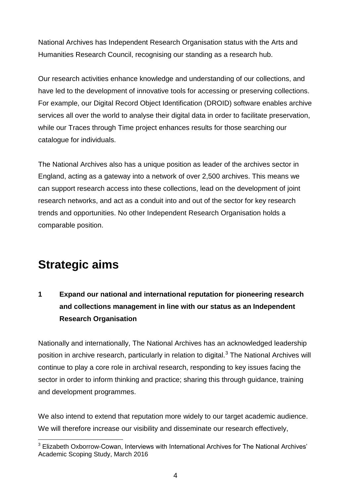National Archives has Independent Research Organisation status with the Arts and Humanities Research Council, recognising our standing as a research hub.

Our research activities enhance knowledge and understanding of our collections, and have led to the development of innovative tools for accessing or preserving collections. For example, our Digital Record Object Identification (DROID) software enables archive services all over the world to analyse their digital data in order to facilitate preservation, while our Traces through Time project enhances results for those searching our catalogue for individuals.

The National Archives also has a unique position as leader of the archives sector in England, acting as a gateway into a network of over 2,500 archives. This means we can support research access into these collections, lead on the development of joint research networks, and act as a conduit into and out of the sector for key research trends and opportunities. No other Independent Research Organisation holds a comparable position.

## **Strategic aims**

l

**1 Expand our national and international reputation for pioneering research and collections management in line with our status as an Independent Research Organisation**

Nationally and internationally, The National Archives has an acknowledged leadership position in archive research, particularly in relation to digital.<sup>3</sup> The National Archives will continue to play a core role in archival research, responding to key issues facing the sector in order to inform thinking and practice; sharing this through guidance, training and development programmes.

We also intend to extend that reputation more widely to our target academic audience. We will therefore increase our visibility and disseminate our research effectively,

<sup>&</sup>lt;sup>3</sup> Elizabeth Oxborrow-Cowan, Interviews with International Archives for The National Archives' Academic Scoping Study, March 2016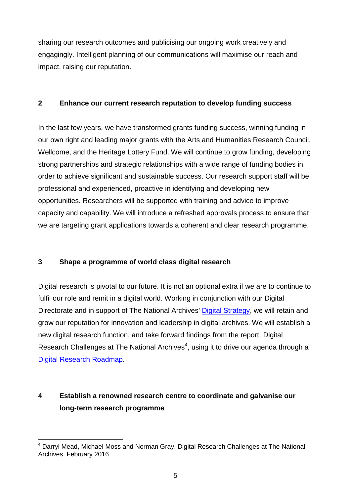sharing our research outcomes and publicising our ongoing work creatively and engagingly. Intelligent planning of our communications will maximise our reach and impact, raising our reputation.

#### **2 Enhance our current research reputation to develop funding success**

In the last few years, we have transformed grants funding success, winning funding in our own right and leading major grants with the Arts and Humanities Research Council, Wellcome, and the Heritage Lottery Fund. We will continue to grow funding, developing strong partnerships and strategic relationships with a wide range of funding bodies in order to achieve significant and sustainable success. Our research support staff will be professional and experienced, proactive in identifying and developing new opportunities. Researchers will be supported with training and advice to improve capacity and capability. We will introduce a refreshed approvals process to ensure that we are targeting grant applications towards a coherent and clear research programme.

#### **3 Shape a programme of world class digital research**

l

Digital research is pivotal to our future. It is not an optional extra if we are to continue to fulfil our role and remit in a digital world. Working in conjunction with our Digital Directorate and in support of The National Archives' [Digital Strategy,](http://www.nationalarchives.gov.uk/about/our-role/plans-policies-performance-and-projects/our-plans/digital-strategy/) we will retain and grow our reputation for innovation and leadership in digital archives. We will establish a new digital research function, and take forward findings from the report, Digital Research Challenges at The National Archives $4$ , using it to drive our agenda through a [Digital Research Roadmap.](http://www.nationalarchives.gov.uk/documents/digital-research-roadmap.pdf)

### **4 Establish a renowned research centre to coordinate and galvanise our long-term research programme**

<sup>&</sup>lt;sup>4</sup> Darryl Mead, Michael Moss and Norman Gray, Digital Research Challenges at The National Archives, February 2016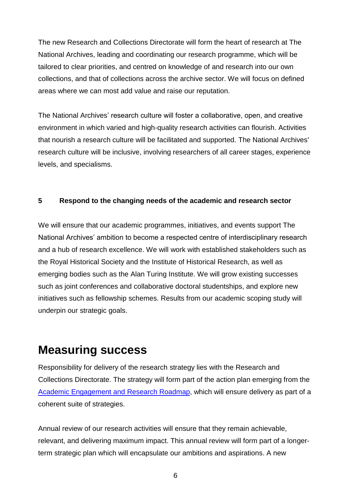The new Research and Collections Directorate will form the heart of research at The National Archives, leading and coordinating our research programme, which will be tailored to clear priorities, and centred on knowledge of and research into our own collections, and that of collections across the archive sector. We will focus on defined areas where we can most add value and raise our reputation.

The National Archives' research culture will foster a collaborative, open, and creative environment in which varied and high-quality research activities can flourish. Activities that nourish a research culture will be facilitated and supported. The National Archives' research culture will be inclusive, involving researchers of all career stages, experience levels, and specialisms.

#### **5 Respond to the changing needs of the academic and research sector**

We will ensure that our academic programmes, initiatives, and events support The National Archives' ambition to become a respected centre of interdisciplinary research and a hub of research excellence. We will work with established stakeholders such as the Royal Historical Society and the Institute of Historical Research, as well as emerging bodies such as the Alan Turing Institute. We will grow existing successes such as joint conferences and collaborative doctoral studentships, and explore new initiatives such as fellowship schemes. Results from our academic scoping study will underpin our strategic goals.

## **Measuring success**

Responsibility for delivery of the research strategy lies with the Research and Collections Directorate. The strategy will form part of the action plan emerging from the [Academic Engagement and](http://www.nationalarchives.gov.uk/documents/academic-engagement-and-research-roadmap.pdf) Research Roadmap, which will ensure delivery as part of a coherent suite of strategies.

Annual review of our research activities will ensure that they remain achievable, relevant, and delivering maximum impact. This annual review will form part of a longerterm strategic plan which will encapsulate our ambitions and aspirations. A new